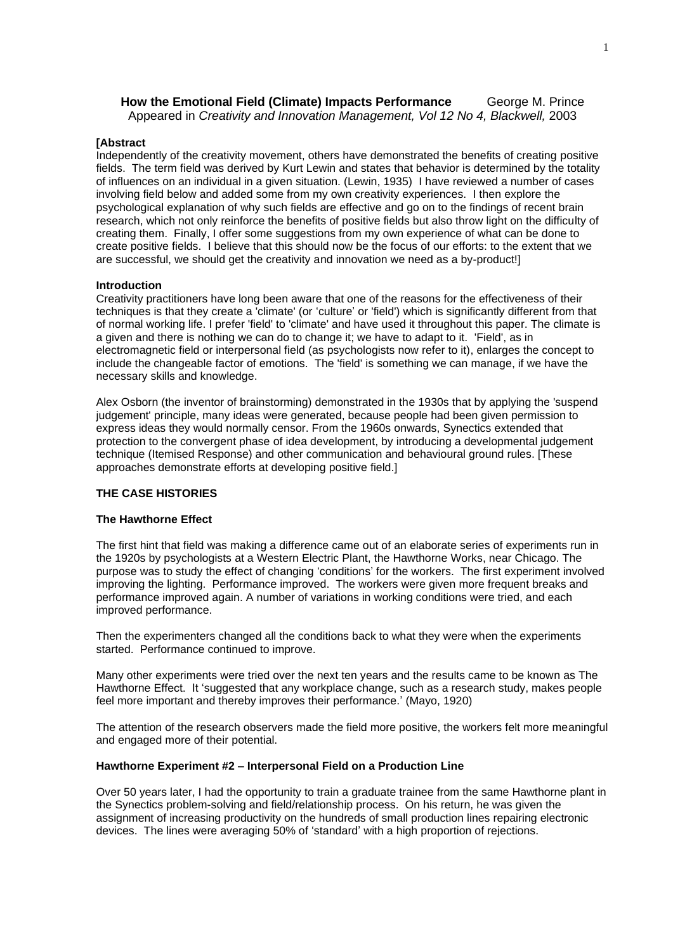**How the Emotional Field (Climate) Impacts Performance <b>George M. Prince** Appeared in *Creativity and Innovation Management, Vol 12 No 4, Blackwell,* 2003

## **[Abstract**

Independently of the creativity movement, others have demonstrated the benefits of creating positive fields. The term field was derived by Kurt Lewin and states that behavior is determined by the totality of influences on an individual in a given situation. (Lewin, 1935) I have reviewed a number of cases involving field below and added some from my own creativity experiences. I then explore the psychological explanation of why such fields are effective and go on to the findings of recent brain research, which not only reinforce the benefits of positive fields but also throw light on the difficulty of creating them. Finally, I offer some suggestions from my own experience of what can be done to create positive fields. I believe that this should now be the focus of our efforts: to the extent that we are successful, we should get the creativity and innovation we need as a by-product!]

## **Introduction**

Creativity practitioners have long been aware that one of the reasons for the effectiveness of their techniques is that they create a 'climate' (or 'culture' or 'field') which is significantly different from that of normal working life. I prefer 'field' to 'climate' and have used it throughout this paper. The climate is a given and there is nothing we can do to change it; we have to adapt to it. 'Field', as in electromagnetic field or interpersonal field (as psychologists now refer to it), enlarges the concept to include the changeable factor of emotions. The 'field' is something we can manage, if we have the necessary skills and knowledge.

Alex Osborn (the inventor of brainstorming) demonstrated in the 1930s that by applying the 'suspend judgement' principle, many ideas were generated, because people had been given permission to express ideas they would normally censor. From the 1960s onwards, Synectics extended that protection to the convergent phase of idea development, by introducing a developmental judgement technique (Itemised Response) and other communication and behavioural ground rules. [These approaches demonstrate efforts at developing positive field.]

# **THE CASE HISTORIES**

#### **The Hawthorne Effect**

The first hint that field was making a difference came out of an elaborate series of experiments run in the 1920s by psychologists at a Western Electric Plant, the Hawthorne Works, near Chicago. The purpose was to study the effect of changing 'conditions' for the workers. The first experiment involved improving the lighting. Performance improved. The workers were given more frequent breaks and performance improved again. A number of variations in working conditions were tried, and each improved performance.

Then the experimenters changed all the conditions back to what they were when the experiments started. Performance continued to improve.

Many other experiments were tried over the next ten years and the results came to be known as The Hawthorne Effect. It 'suggested that any workplace change, such as a research study, makes people feel more important and thereby improves their performance.' (Mayo, 1920)

The attention of the research observers made the field more positive, the workers felt more meaningful and engaged more of their potential.

## **Hawthorne Experiment #2 – Interpersonal Field on a Production Line**

Over 50 years later, I had the opportunity to train a graduate trainee from the same Hawthorne plant in the Synectics problem-solving and field/relationship process. On his return, he was given the assignment of increasing productivity on the hundreds of small production lines repairing electronic devices. The lines were averaging 50% of 'standard' with a high proportion of rejections.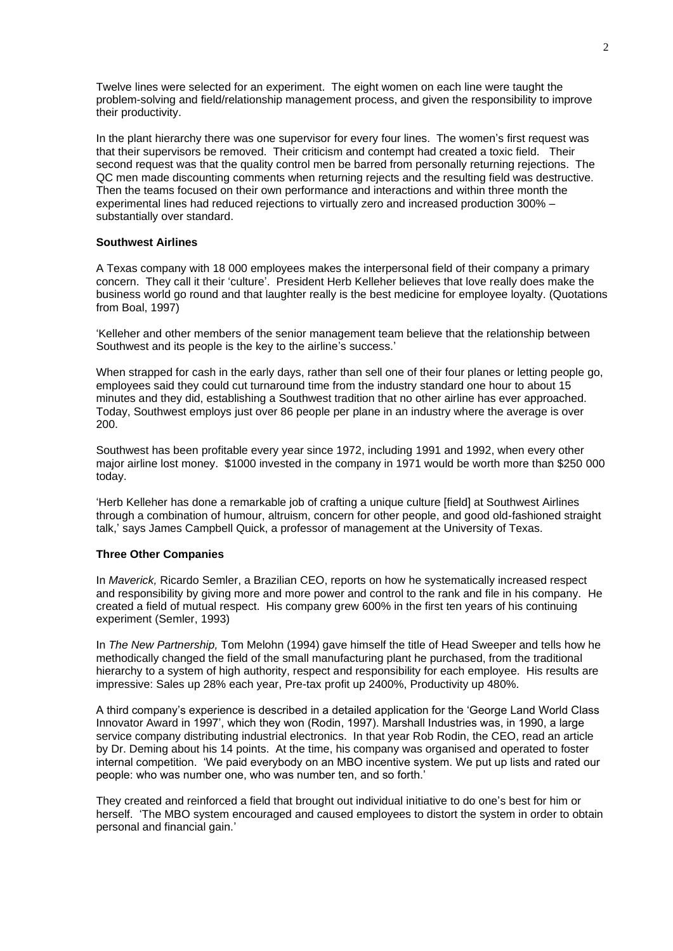Twelve lines were selected for an experiment. The eight women on each line were taught the problem-solving and field/relationship management process, and given the responsibility to improve their productivity.

In the plant hierarchy there was one supervisor for every four lines. The women's first request was that their supervisors be removed. Their criticism and contempt had created a toxic field. Their second request was that the quality control men be barred from personally returning rejections. The QC men made discounting comments when returning rejects and the resulting field was destructive. Then the teams focused on their own performance and interactions and within three month the experimental lines had reduced rejections to virtually zero and increased production 300% – substantially over standard.

## **Southwest Airlines**

A Texas company with 18 000 employees makes the interpersonal field of their company a primary concern. They call it their 'culture'. President Herb Kelleher believes that love really does make the business world go round and that laughter really is the best medicine for employee loyalty. (Quotations from Boal, 1997)

'Kelleher and other members of the senior management team believe that the relationship between Southwest and its people is the key to the airline's success.'

When strapped for cash in the early days, rather than sell one of their four planes or letting people go, employees said they could cut turnaround time from the industry standard one hour to about 15 minutes and they did, establishing a Southwest tradition that no other airline has ever approached. Today, Southwest employs just over 86 people per plane in an industry where the average is over 200.

Southwest has been profitable every year since 1972, including 1991 and 1992, when every other major airline lost money. \$1000 invested in the company in 1971 would be worth more than \$250 000 today.

'Herb Kelleher has done a remarkable job of crafting a unique culture [field] at Southwest Airlines through a combination of humour, altruism, concern for other people, and good old-fashioned straight talk,' says James Campbell Quick, a professor of management at the University of Texas.

## **Three Other Companies**

In *Maverick,* Ricardo Semler, a Brazilian CEO, reports on how he systematically increased respect and responsibility by giving more and more power and control to the rank and file in his company. He created a field of mutual respect. His company grew 600% in the first ten years of his continuing experiment (Semler, 1993)

In *The New Partnership,* Tom Melohn (1994) gave himself the title of Head Sweeper and tells how he methodically changed the field of the small manufacturing plant he purchased, from the traditional hierarchy to a system of high authority, respect and responsibility for each employee. His results are impressive: Sales up 28% each year, Pre-tax profit up 2400%, Productivity up 480%.

A third company's experience is described in a detailed application for the 'George Land World Class Innovator Award in 1997', which they won (Rodin, 1997). Marshall Industries was, in 1990, a large service company distributing industrial electronics. In that year Rob Rodin, the CEO, read an article by Dr. Deming about his 14 points. At the time, his company was organised and operated to foster internal competition. 'We paid everybody on an MBO incentive system. We put up lists and rated our people: who was number one, who was number ten, and so forth.'

They created and reinforced a field that brought out individual initiative to do one's best for him or herself. 'The MBO system encouraged and caused employees to distort the system in order to obtain personal and financial gain.'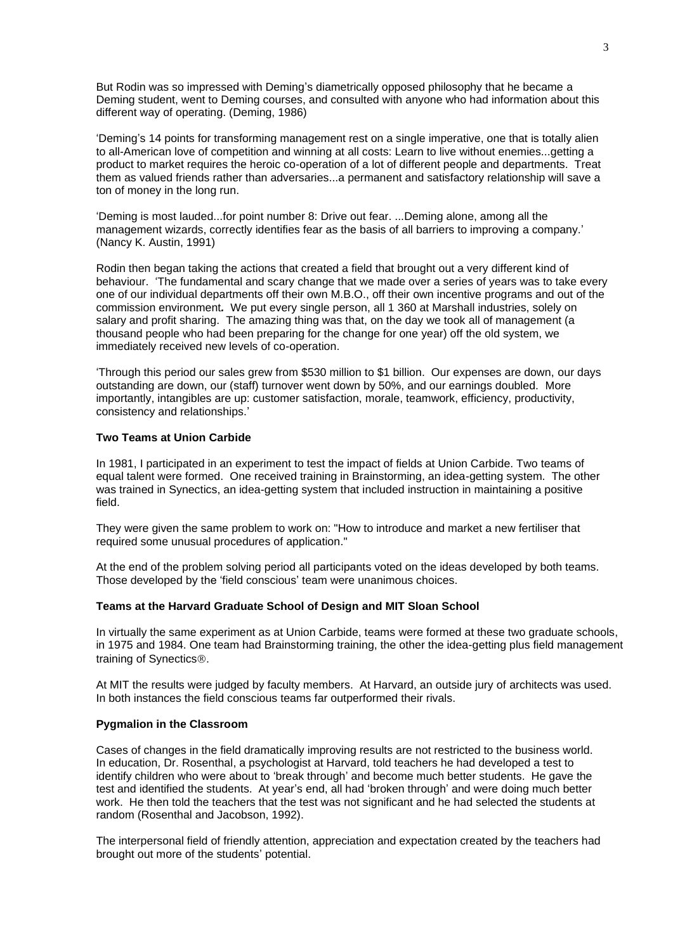But Rodin was so impressed with Deming's diametrically opposed philosophy that he became a Deming student, went to Deming courses, and consulted with anyone who had information about this different way of operating. (Deming, 1986)

'Deming's 14 points for transforming management rest on a single imperative, one that is totally alien to all-American love of competition and winning at all costs: Learn to live without enemies...getting a product to market requires the heroic co-operation of a lot of different people and departments. Treat them as valued friends rather than adversaries...a permanent and satisfactory relationship will save a ton of money in the long run.

'Deming is most lauded...for point number 8: Drive out fear. ...Deming alone, among all the management wizards, correctly identifies fear as the basis of all barriers to improving a company.' (Nancy K. Austin, 1991)

Rodin then began taking the actions that created a field that brought out a very different kind of behaviour. 'The fundamental and scary change that we made over a series of years was to take every one of our individual departments off their own M.B.O., off their own incentive programs and out of the commission environment*.* We put every single person, all 1 360 at Marshall industries, solely on salary and profit sharing. The amazing thing was that, on the day we took all of management (a thousand people who had been preparing for the change for one year) off the old system, we immediately received new levels of co-operation.

'Through this period our sales grew from \$530 million to \$1 billion. Our expenses are down, our days outstanding are down, our (staff) turnover went down by 50%, and our earnings doubled. More importantly, intangibles are up: customer satisfaction, morale, teamwork, efficiency, productivity, consistency and relationships.'

## **Two Teams at Union Carbide**

In 1981, I participated in an experiment to test the impact of fields at Union Carbide. Two teams of equal talent were formed. One received training in Brainstorming, an idea-getting system. The other was trained in Synectics, an idea-getting system that included instruction in maintaining a positive field.

They were given the same problem to work on: "How to introduce and market a new fertiliser that required some unusual procedures of application."

At the end of the problem solving period all participants voted on the ideas developed by both teams. Those developed by the 'field conscious' team were unanimous choices.

#### **Teams at the Harvard Graduate School of Design and MIT Sloan School**

In virtually the same experiment as at Union Carbide, teams were formed at these two graduate schools, in 1975 and 1984. One team had Brainstorming training, the other the idea-getting plus field management training of Synectics<sup>®</sup>.

At MIT the results were judged by faculty members. At Harvard, an outside jury of architects was used. In both instances the field conscious teams far outperformed their rivals.

#### **Pygmalion in the Classroom**

Cases of changes in the field dramatically improving results are not restricted to the business world. In education, Dr. Rosenthal, a psychologist at Harvard, told teachers he had developed a test to identify children who were about to 'break through' and become much better students. He gave the test and identified the students. At year's end, all had 'broken through' and were doing much better work. He then told the teachers that the test was not significant and he had selected the students at random (Rosenthal and Jacobson, 1992).

The interpersonal field of friendly attention, appreciation and expectation created by the teachers had brought out more of the students' potential.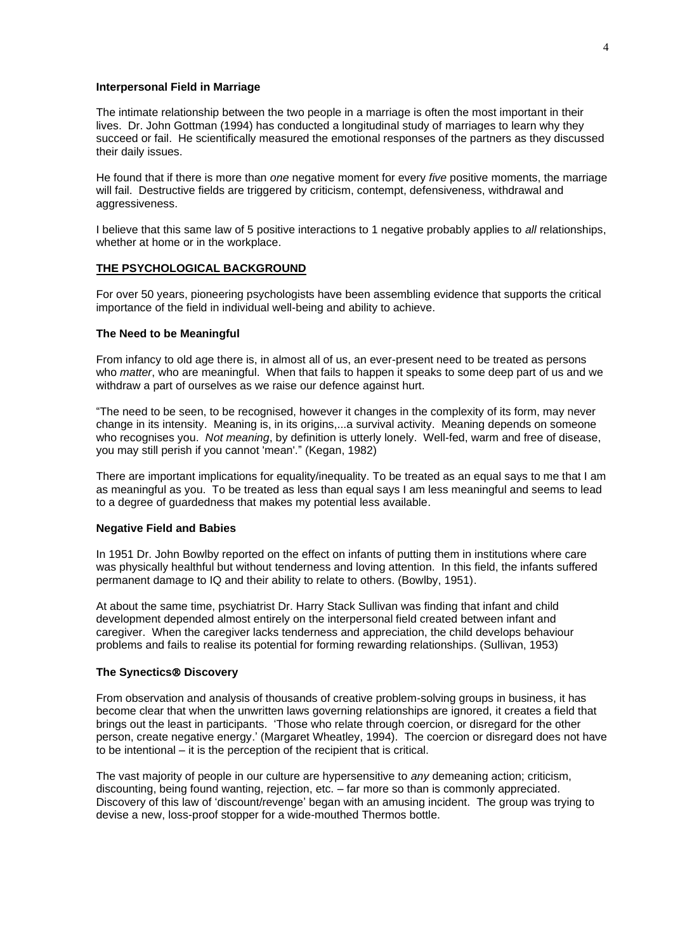#### **Interpersonal Field in Marriage**

The intimate relationship between the two people in a marriage is often the most important in their lives. Dr. John Gottman (1994) has conducted a longitudinal study of marriages to learn why they succeed or fail. He scientifically measured the emotional responses of the partners as they discussed their daily issues.

He found that if there is more than *one* negative moment for every *five* positive moments, the marriage will fail. Destructive fields are triggered by criticism, contempt, defensiveness, withdrawal and aggressiveness.

I believe that this same law of 5 positive interactions to 1 negative probably applies to *all* relationships, whether at home or in the workplace.

#### **THE PSYCHOLOGICAL BACKGROUND**

For over 50 years, pioneering psychologists have been assembling evidence that supports the critical importance of the field in individual well-being and ability to achieve.

## **The Need to be Meaningful**

From infancy to old age there is, in almost all of us, an ever-present need to be treated as persons who *matter*, who are meaningful. When that fails to happen it speaks to some deep part of us and we withdraw a part of ourselves as we raise our defence against hurt.

"The need to be seen, to be recognised, however it changes in the complexity of its form, may never change in its intensity. Meaning is, in its origins,...a survival activity. Meaning depends on someone who recognises you. *Not meaning*, by definition is utterly lonely. Well-fed, warm and free of disease, you may still perish if you cannot 'mean'." (Kegan, 1982)

There are important implications for equality/inequality. To be treated as an equal says to me that I am as meaningful as you. To be treated as less than equal says I am less meaningful and seems to lead to a degree of guardedness that makes my potential less available.

## **Negative Field and Babies**

In 1951 Dr. John Bowlby reported on the effect on infants of putting them in institutions where care was physically healthful but without tenderness and loving attention. In this field, the infants suffered permanent damage to IQ and their ability to relate to others. (Bowlby, 1951).

At about the same time, psychiatrist Dr. Harry Stack Sullivan was finding that infant and child development depended almost entirely on the interpersonal field created between infant and caregiver. When the caregiver lacks tenderness and appreciation, the child develops behaviour problems and fails to realise its potential for forming rewarding relationships. (Sullivan, 1953)

## **The Synectics Discovery**

From observation and analysis of thousands of creative problem-solving groups in business, it has become clear that when the unwritten laws governing relationships are ignored, it creates a field that brings out the least in participants. 'Those who relate through coercion, or disregard for the other person, create negative energy.' (Margaret Wheatley, 1994). The coercion or disregard does not have to be intentional – it is the perception of the recipient that is critical.

The vast majority of people in our culture are hypersensitive to *any* demeaning action; criticism, discounting, being found wanting, rejection, etc. – far more so than is commonly appreciated. Discovery of this law of 'discount/revenge' began with an amusing incident. The group was trying to devise a new, loss-proof stopper for a wide-mouthed Thermos bottle.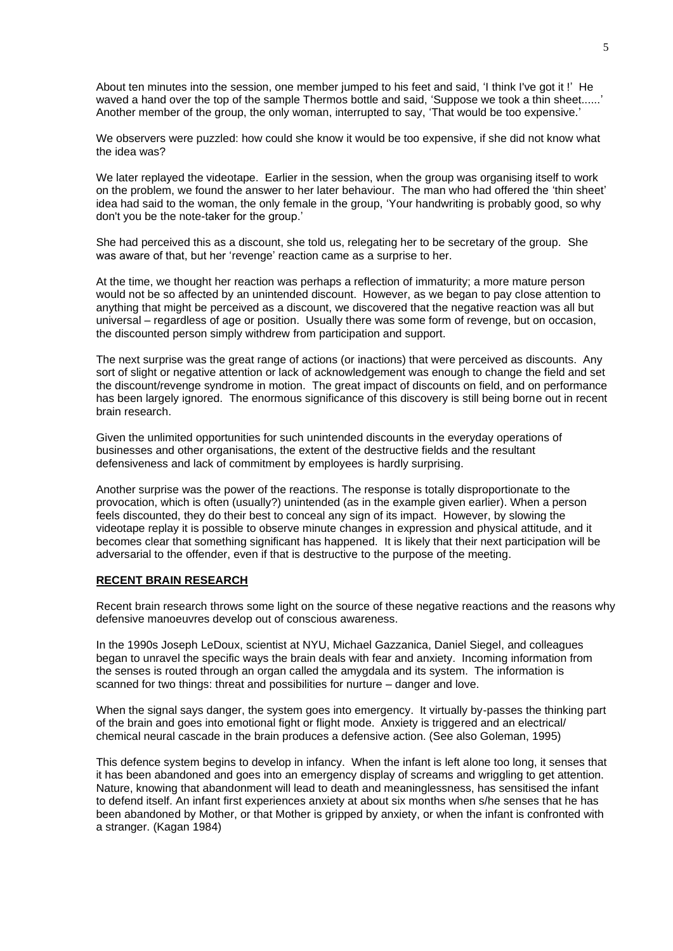About ten minutes into the session, one member jumped to his feet and said, 'I think I've got it !' He waved a hand over the top of the sample Thermos bottle and said, 'Suppose we took a thin sheet......' Another member of the group, the only woman, interrupted to say, 'That would be too expensive.'

We observers were puzzled: how could she know it would be too expensive, if she did not know what the idea was?

We later replayed the videotape. Earlier in the session, when the group was organising itself to work on the problem, we found the answer to her later behaviour. The man who had offered the 'thin sheet' idea had said to the woman, the only female in the group, 'Your handwriting is probably good, so why don't you be the note-taker for the group.'

She had perceived this as a discount, she told us, relegating her to be secretary of the group. She was aware of that, but her 'revenge' reaction came as a surprise to her.

At the time, we thought her reaction was perhaps a reflection of immaturity; a more mature person would not be so affected by an unintended discount. However, as we began to pay close attention to anything that might be perceived as a discount, we discovered that the negative reaction was all but universal – regardless of age or position. Usually there was some form of revenge, but on occasion, the discounted person simply withdrew from participation and support.

The next surprise was the great range of actions (or inactions) that were perceived as discounts. Any sort of slight or negative attention or lack of acknowledgement was enough to change the field and set the discount/revenge syndrome in motion. The great impact of discounts on field, and on performance has been largely ignored. The enormous significance of this discovery is still being borne out in recent brain research.

Given the unlimited opportunities for such unintended discounts in the everyday operations of businesses and other organisations, the extent of the destructive fields and the resultant defensiveness and lack of commitment by employees is hardly surprising.

Another surprise was the power of the reactions. The response is totally disproportionate to the provocation, which is often (usually?) unintended (as in the example given earlier). When a person feels discounted, they do their best to conceal any sign of its impact. However, by slowing the videotape replay it is possible to observe minute changes in expression and physical attitude, and it becomes clear that something significant has happened. It is likely that their next participation will be adversarial to the offender, even if that is destructive to the purpose of the meeting.

## **RECENT BRAIN RESEARCH**

Recent brain research throws some light on the source of these negative reactions and the reasons why defensive manoeuvres develop out of conscious awareness.

In the 1990s Joseph LeDoux, scientist at NYU, Michael Gazzanica, Daniel Siegel, and colleagues began to unravel the specific ways the brain deals with fear and anxiety. Incoming information from the senses is routed through an organ called the amygdala and its system. The information is scanned for two things: threat and possibilities for nurture – danger and love.

When the signal says danger, the system goes into emergency. It virtually by-passes the thinking part of the brain and goes into emotional fight or flight mode. Anxiety is triggered and an electrical/ chemical neural cascade in the brain produces a defensive action. (See also Goleman, 1995)

This defence system begins to develop in infancy. When the infant is left alone too long, it senses that it has been abandoned and goes into an emergency display of screams and wriggling to get attention. Nature, knowing that abandonment will lead to death and meaninglessness, has sensitised the infant to defend itself. An infant first experiences anxiety at about six months when s/he senses that he has been abandoned by Mother, or that Mother is gripped by anxiety, or when the infant is confronted with a stranger. (Kagan 1984)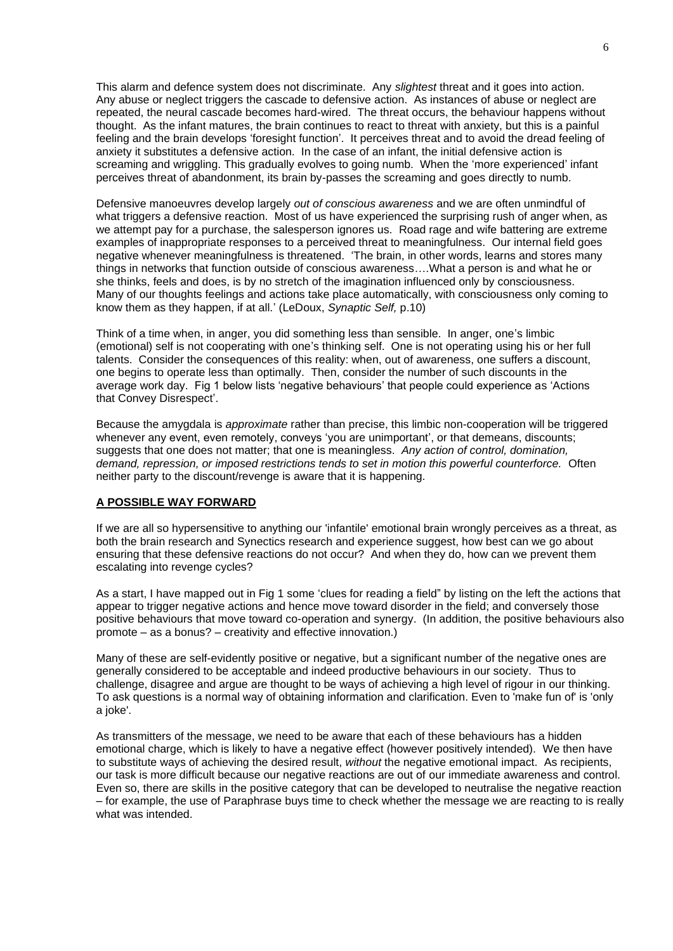This alarm and defence system does not discriminate. Any *slightest* threat and it goes into action. Any abuse or neglect triggers the cascade to defensive action. As instances of abuse or neglect are repeated, the neural cascade becomes hard-wired. The threat occurs, the behaviour happens without thought. As the infant matures, the brain continues to react to threat with anxiety, but this is a painful feeling and the brain develops 'foresight function'. It perceives threat and to avoid the dread feeling of anxiety it substitutes a defensive action. In the case of an infant, the initial defensive action is screaming and wriggling. This gradually evolves to going numb. When the 'more experienced' infant perceives threat of abandonment, its brain by-passes the screaming and goes directly to numb.

Defensive manoeuvres develop largely *out of conscious awareness* and we are often unmindful of what triggers a defensive reaction. Most of us have experienced the surprising rush of anger when, as we attempt pay for a purchase, the salesperson ignores us. Road rage and wife battering are extreme examples of inappropriate responses to a perceived threat to meaningfulness. Our internal field goes negative whenever meaningfulness is threatened. 'The brain, in other words, learns and stores many things in networks that function outside of conscious awareness….What a person is and what he or she thinks, feels and does, is by no stretch of the imagination influenced only by consciousness. Many of our thoughts feelings and actions take place automatically, with consciousness only coming to know them as they happen, if at all.' (LeDoux, *Synaptic Self,* p.10)

Think of a time when, in anger, you did something less than sensible. In anger, one's limbic (emotional) self is not cooperating with one's thinking self. One is not operating using his or her full talents. Consider the consequences of this reality: when, out of awareness, one suffers a discount, one begins to operate less than optimally. Then, consider the number of such discounts in the average work day. Fig 1 below lists 'negative behaviours' that people could experience as 'Actions that Convey Disrespect'.

Because the amygdala is *approximate* rather than precise, this limbic non-cooperation will be triggered whenever any event, even remotely, conveys 'you are unimportant', or that demeans, discounts; suggests that one does not matter; that one is meaningless. *Any action of control, domination, demand, repression, or imposed restrictions tends to set in motion this powerful counterforce.* Often neither party to the discount/revenge is aware that it is happening.

# **A POSSIBLE WAY FORWARD**

If we are all so hypersensitive to anything our 'infantile' emotional brain wrongly perceives as a threat, as both the brain research and Synectics research and experience suggest, how best can we go about ensuring that these defensive reactions do not occur? And when they do, how can we prevent them escalating into revenge cycles?

As a start, I have mapped out in Fig 1 some 'clues for reading a field" by listing on the left the actions that appear to trigger negative actions and hence move toward disorder in the field; and conversely those positive behaviours that move toward co-operation and synergy. (In addition, the positive behaviours also promote – as a bonus? – creativity and effective innovation.)

Many of these are self-evidently positive or negative, but a significant number of the negative ones are generally considered to be acceptable and indeed productive behaviours in our society. Thus to challenge, disagree and argue are thought to be ways of achieving a high level of rigour in our thinking. To ask questions is a normal way of obtaining information and clarification. Even to 'make fun of' is 'only a joke'.

As transmitters of the message, we need to be aware that each of these behaviours has a hidden emotional charge, which is likely to have a negative effect (however positively intended). We then have to substitute ways of achieving the desired result, *without* the negative emotional impact. As recipients, our task is more difficult because our negative reactions are out of our immediate awareness and control. Even so, there are skills in the positive category that can be developed to neutralise the negative reaction – for example, the use of Paraphrase buys time to check whether the message we are reacting to is really what was intended.